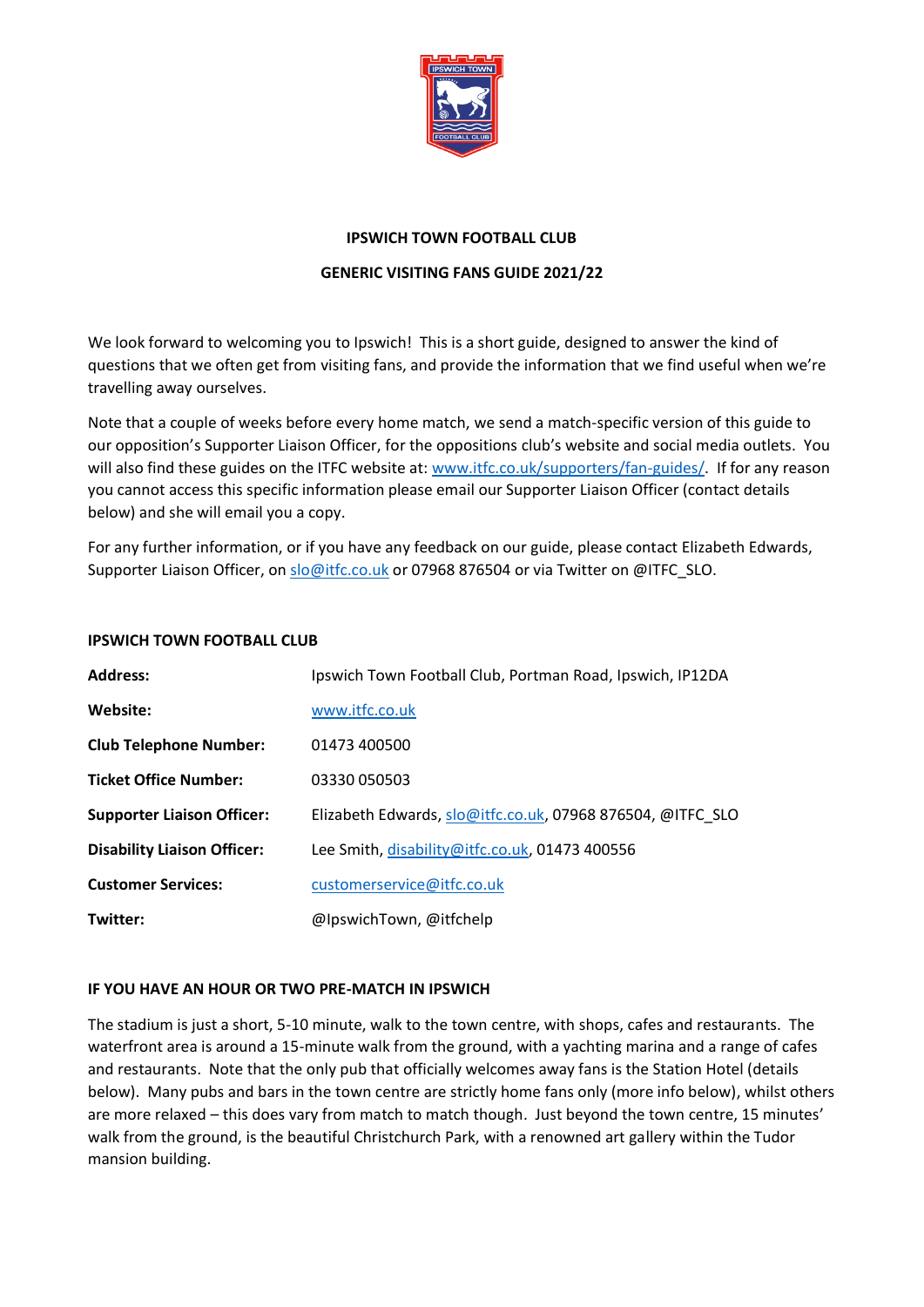

## **IPSWICH TOWN FOOTBALL CLUB**

## **GENERIC VISITING FANS GUIDE 2021/22**

We look forward to welcoming you to Ipswich! This is a short guide, designed to answer the kind of questions that we often get from visiting fans, and provide the information that we find useful when we're travelling away ourselves.

Note that a couple of weeks before every home match, we send a match-specific version of this guide to our opposition's Supporter Liaison Officer, for the oppositions club's website and social media outlets. You will also find these guides on the ITFC website at: [www.itfc.co.uk/supporters/fan-guides/.](http://www.itfc.co.uk/supporters/fan-guides/) If for any reason you cannot access this specific information please email our Supporter Liaison Officer (contact details below) and she will email you a copy.

For any further information, or if you have any feedback on our guide, please contact Elizabeth Edwards, Supporter Liaison Officer, on [slo@itfc.co.uk](mailto:slo@itfc.co.uk) or 07968 876504 or via Twitter on @ITFC\_SLO.

## **IPSWICH TOWN FOOTBALL CLUB**

| <b>Address:</b>                    | Ipswich Town Football Club, Portman Road, Ipswich, IP12DA  |
|------------------------------------|------------------------------------------------------------|
| Website:                           | www.itfc.co.uk                                             |
| <b>Club Telephone Number:</b>      | 01473 400500                                               |
| <b>Ticket Office Number:</b>       | 03330 050503                                               |
| <b>Supporter Liaison Officer:</b>  | Elizabeth Edwards, slo@itfc.co.uk, 07968 876504, @ITFC_SLO |
| <b>Disability Liaison Officer:</b> | Lee Smith, disability@itfc.co.uk, 01473 400556             |
| <b>Customer Services:</b>          | customerservice@itfc.co.uk                                 |
| Twitter:                           | @IpswichTown, @itfchelp                                    |

## **IF YOU HAVE AN HOUR OR TWO PRE-MATCH IN IPSWICH**

The stadium is just a short, 5-10 minute, walk to the town centre, with shops, cafes and restaurants. The waterfront area is around a 15-minute walk from the ground, with a yachting marina and a range of cafes and restaurants. Note that the only pub that officially welcomes away fans is the Station Hotel (details below). Many pubs and bars in the town centre are strictly home fans only (more info below), whilst others are more relaxed – this does vary from match to match though. Just beyond the town centre, 15 minutes' walk from the ground, is the beautiful Christchurch Park, with a renowned art gallery within the Tudor mansion building.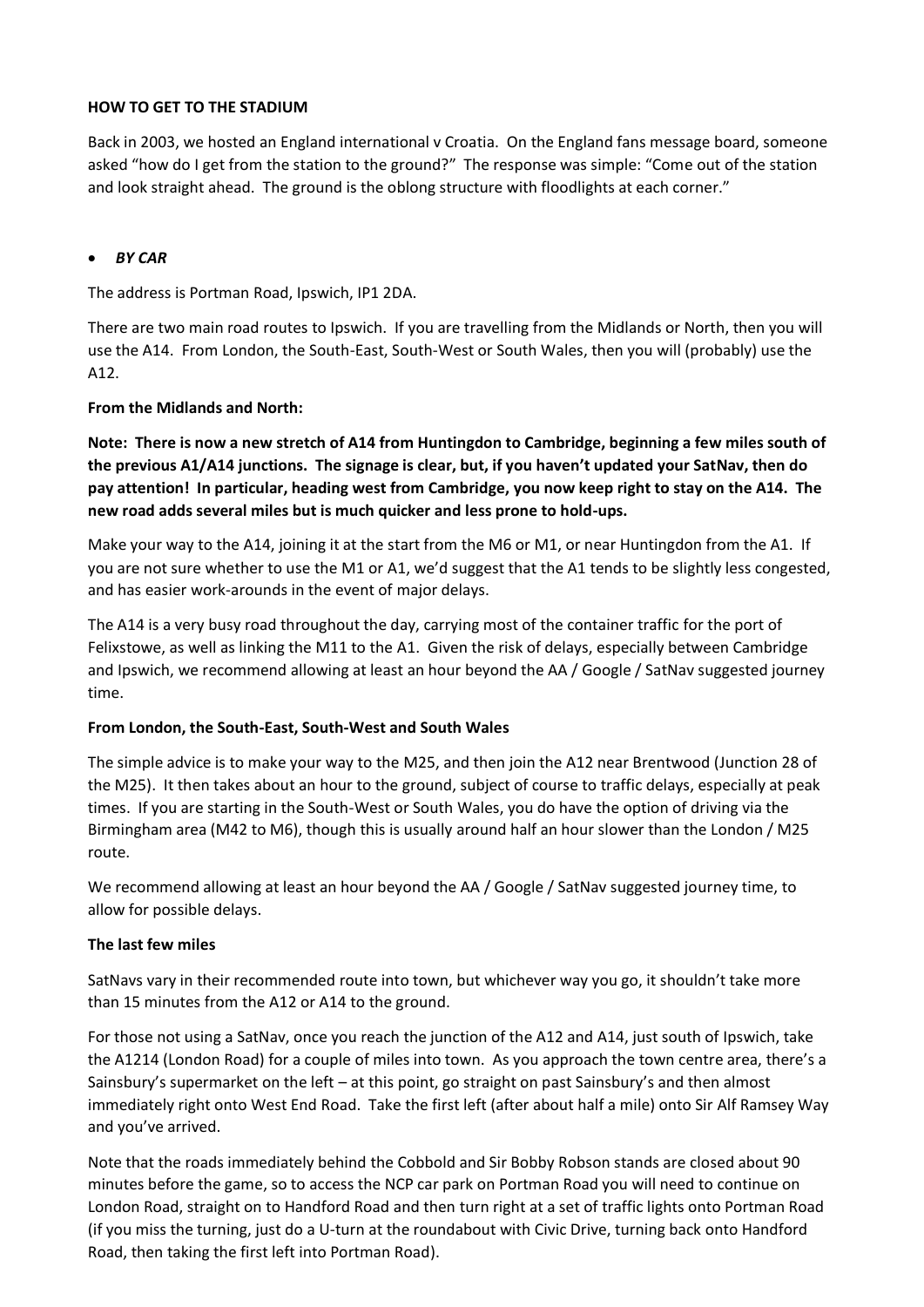## **HOW TO GET TO THE STADIUM**

Back in 2003, we hosted an England international v Croatia. On the England fans message board, someone asked "how do I get from the station to the ground?" The response was simple: "Come out of the station and look straight ahead. The ground is the oblong structure with floodlights at each corner."

## • *BY CAR*

The address is Portman Road, Ipswich, IP1 2DA.

There are two main road routes to Ipswich. If you are travelling from the Midlands or North, then you will use the A14. From London, the South-East, South-West or South Wales, then you will (probably) use the A12.

## **From the Midlands and North:**

**Note: There is now a new stretch of A14 from Huntingdon to Cambridge, beginning a few miles south of the previous A1/A14 junctions. The signage is clear, but, if you haven't updated your SatNav, then do pay attention! In particular, heading west from Cambridge, you now keep right to stay on the A14. The new road adds several miles but is much quicker and less prone to hold-ups.** 

Make your way to the A14, joining it at the start from the M6 or M1, or near Huntingdon from the A1. If you are not sure whether to use the M1 or A1, we'd suggest that the A1 tends to be slightly less congested, and has easier work-arounds in the event of major delays.

The A14 is a very busy road throughout the day, carrying most of the container traffic for the port of Felixstowe, as well as linking the M11 to the A1. Given the risk of delays, especially between Cambridge and Ipswich, we recommend allowing at least an hour beyond the AA / Google / SatNav suggested journey time.

## **From London, the South-East, South-West and South Wales**

The simple advice is to make your way to the M25, and then join the A12 near Brentwood (Junction 28 of the M25). It then takes about an hour to the ground, subject of course to traffic delays, especially at peak times. If you are starting in the South-West or South Wales, you do have the option of driving via the Birmingham area (M42 to M6), though this is usually around half an hour slower than the London / M25 route.

We recommend allowing at least an hour beyond the AA / Google / SatNav suggested journey time, to allow for possible delays.

# **The last few miles**

SatNavs vary in their recommended route into town, but whichever way you go, it shouldn't take more than 15 minutes from the A12 or A14 to the ground.

For those not using a SatNav, once you reach the junction of the A12 and A14, just south of Ipswich, take the A1214 (London Road) for a couple of miles into town. As you approach the town centre area, there's a Sainsbury's supermarket on the left – at this point, go straight on past Sainsbury's and then almost immediately right onto West End Road. Take the first left (after about half a mile) onto Sir Alf Ramsey Way and you've arrived.

Note that the roads immediately behind the Cobbold and Sir Bobby Robson stands are closed about 90 minutes before the game, so to access the NCP car park on Portman Road you will need to continue on London Road, straight on to Handford Road and then turn right at a set of traffic lights onto Portman Road (if you miss the turning, just do a U-turn at the roundabout with Civic Drive, turning back onto Handford Road, then taking the first left into Portman Road).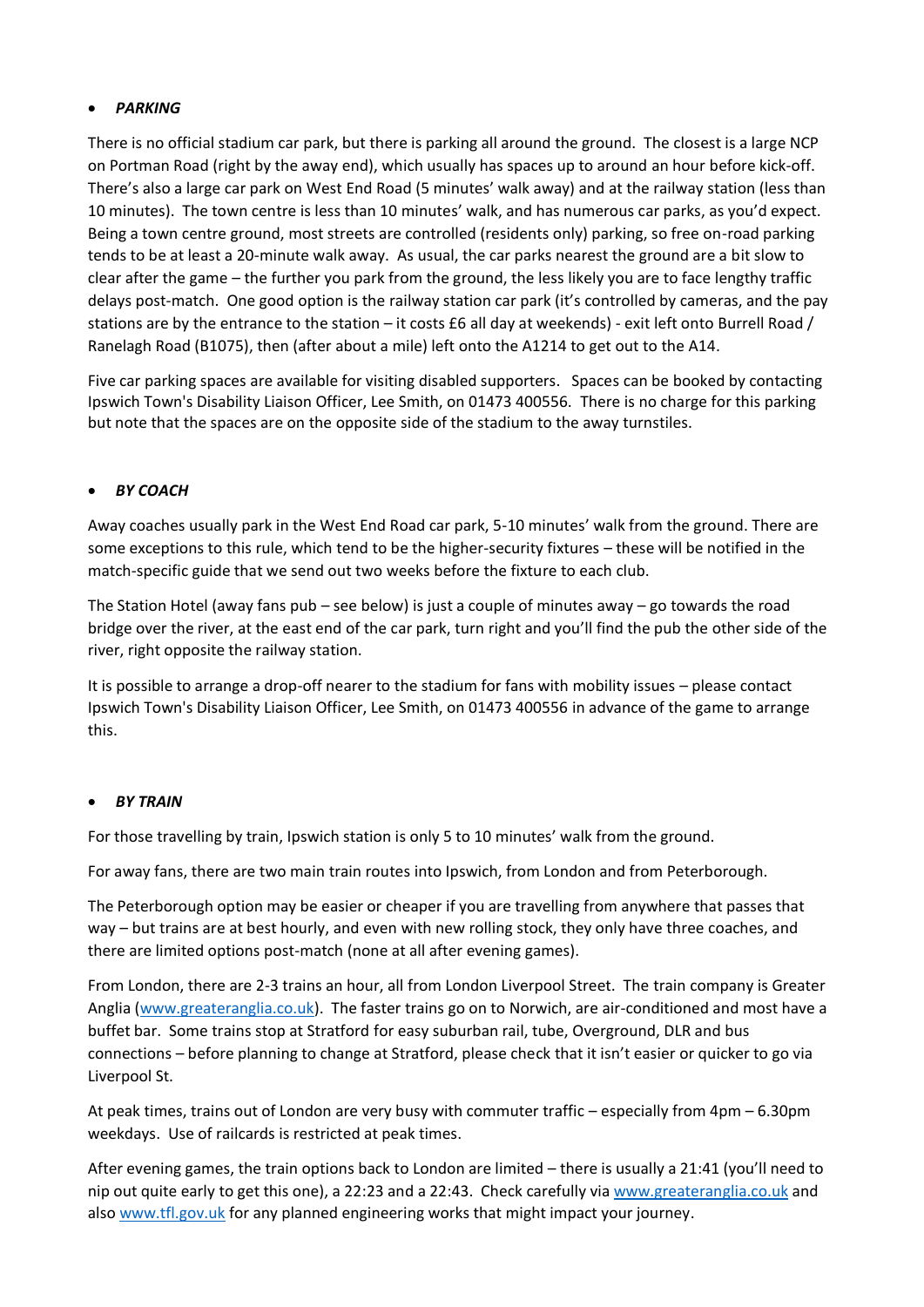# • *PARKING*

There is no official stadium car park, but there is parking all around the ground. The closest is a large NCP on Portman Road (right by the away end), which usually has spaces up to around an hour before kick-off. There's also a large car park on West End Road (5 minutes' walk away) and at the railway station (less than 10 minutes). The town centre is less than 10 minutes' walk, and has numerous car parks, as you'd expect. Being a town centre ground, most streets are controlled (residents only) parking, so free on-road parking tends to be at least a 20-minute walk away. As usual, the car parks nearest the ground are a bit slow to clear after the game – the further you park from the ground, the less likely you are to face lengthy traffic delays post-match. One good option is the railway station car park (it's controlled by cameras, and the pay stations are by the entrance to the station – it costs £6 all day at weekends) - exit left onto Burrell Road / Ranelagh Road (B1075), then (after about a mile) left onto the A1214 to get out to the A14.

Five car parking spaces are available for visiting disabled supporters. Spaces can be booked by contacting Ipswich Town's Disability Liaison Officer, Lee Smith, on 01473 400556. There is no charge for this parking but note that the spaces are on the opposite side of the stadium to the away turnstiles.

# • *BY COACH*

Away coaches usually park in the West End Road car park, 5-10 minutes' walk from the ground. There are some exceptions to this rule, which tend to be the higher-security fixtures – these will be notified in the match-specific guide that we send out two weeks before the fixture to each club.

The Station Hotel (away fans pub – see below) is just a couple of minutes away – go towards the road bridge over the river, at the east end of the car park, turn right and you'll find the pub the other side of the river, right opposite the railway station.

It is possible to arrange a drop-off nearer to the stadium for fans with mobility issues – please contact Ipswich Town's Disability Liaison Officer, Lee Smith, on 01473 400556 in advance of the game to arrange this.

# • *BY TRAIN*

For those travelling by train, Ipswich station is only 5 to 10 minutes' walk from the ground.

For away fans, there are two main train routes into Ipswich, from London and from Peterborough.

The Peterborough option may be easier or cheaper if you are travelling from anywhere that passes that way – but trains are at best hourly, and even with new rolling stock, they only have three coaches, and there are limited options post-match (none at all after evening games).

From London, there are 2-3 trains an hour, all from London Liverpool Street. The train company is Greater Anglia [\(www.greateranglia.co.uk\)](http://www.greateranglia.co.uk/). The faster trains go on to Norwich, are air-conditioned and most have a buffet bar. Some trains stop at Stratford for easy suburban rail, tube, Overground, DLR and bus connections – before planning to change at Stratford, please check that it isn't easier or quicker to go via Liverpool St.

At peak times, trains out of London are very busy with commuter traffic – especially from 4pm – 6.30pm weekdays. Use of railcards is restricted at peak times.

After evening games, the train options back to London are limited – there is usually a 21:41 (you'll need to nip out quite early to get this one), a 22:23 and a 22:43. Check carefully vi[a www.greateranglia.co.uk](http://www.greateranglia.co.uk/) and also [www.tfl.gov.uk](http://www.tfl.gov.uk/) for any planned engineering works that might impact your journey.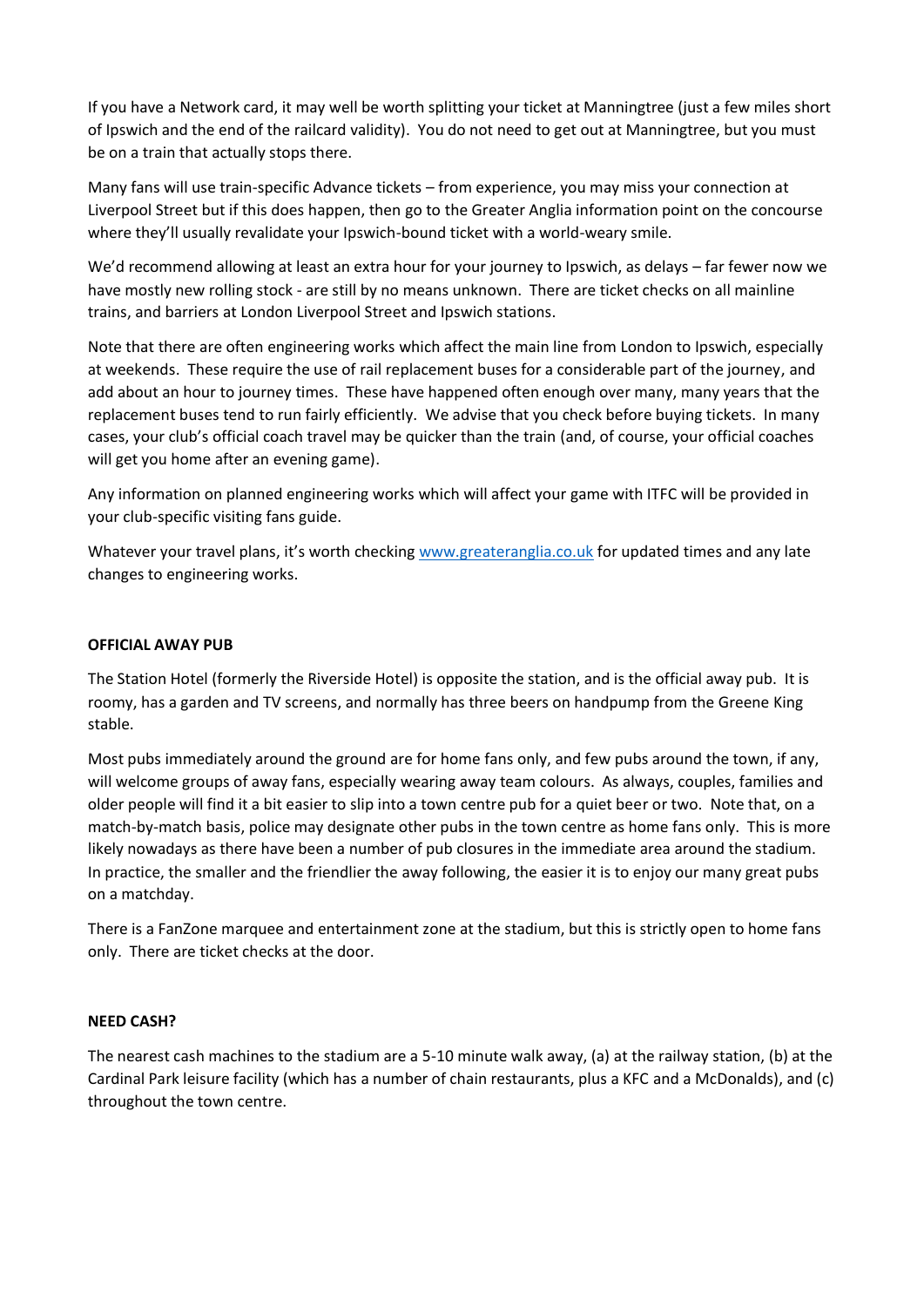If you have a Network card, it may well be worth splitting your ticket at Manningtree (just a few miles short of Ipswich and the end of the railcard validity). You do not need to get out at Manningtree, but you must be on a train that actually stops there.

Many fans will use train-specific Advance tickets – from experience, you may miss your connection at Liverpool Street but if this does happen, then go to the Greater Anglia information point on the concourse where they'll usually revalidate your Ipswich-bound ticket with a world-weary smile.

We'd recommend allowing at least an extra hour for your journey to Ipswich, as delays – far fewer now we have mostly new rolling stock - are still by no means unknown. There are ticket checks on all mainline trains, and barriers at London Liverpool Street and Ipswich stations.

Note that there are often engineering works which affect the main line from London to Ipswich, especially at weekends. These require the use of rail replacement buses for a considerable part of the journey, and add about an hour to journey times. These have happened often enough over many, many years that the replacement buses tend to run fairly efficiently. We advise that you check before buying tickets. In many cases, your club's official coach travel may be quicker than the train (and, of course, your official coaches will get you home after an evening game).

Any information on planned engineering works which will affect your game with ITFC will be provided in your club-specific visiting fans guide.

Whatever your travel plans, it's worth checking [www.greateranglia.co.uk](http://www.greateranglia.co.uk/) for updated times and any late changes to engineering works.

## **OFFICIAL AWAY PUB**

The Station Hotel (formerly the Riverside Hotel) is opposite the station, and is the official away pub. It is roomy, has a garden and TV screens, and normally has three beers on handpump from the Greene King stable.

Most pubs immediately around the ground are for home fans only, and few pubs around the town, if any, will welcome groups of away fans, especially wearing away team colours. As always, couples, families and older people will find it a bit easier to slip into a town centre pub for a quiet beer or two. Note that, on a match-by-match basis, police may designate other pubs in the town centre as home fans only. This is more likely nowadays as there have been a number of pub closures in the immediate area around the stadium. In practice, the smaller and the friendlier the away following, the easier it is to enjoy our many great pubs on a matchday.

There is a FanZone marquee and entertainment zone at the stadium, but this is strictly open to home fans only. There are ticket checks at the door.

## **NEED CASH?**

The nearest cash machines to the stadium are a 5-10 minute walk away, (a) at the railway station, (b) at the Cardinal Park leisure facility (which has a number of chain restaurants, plus a KFC and a McDonalds), and (c) throughout the town centre.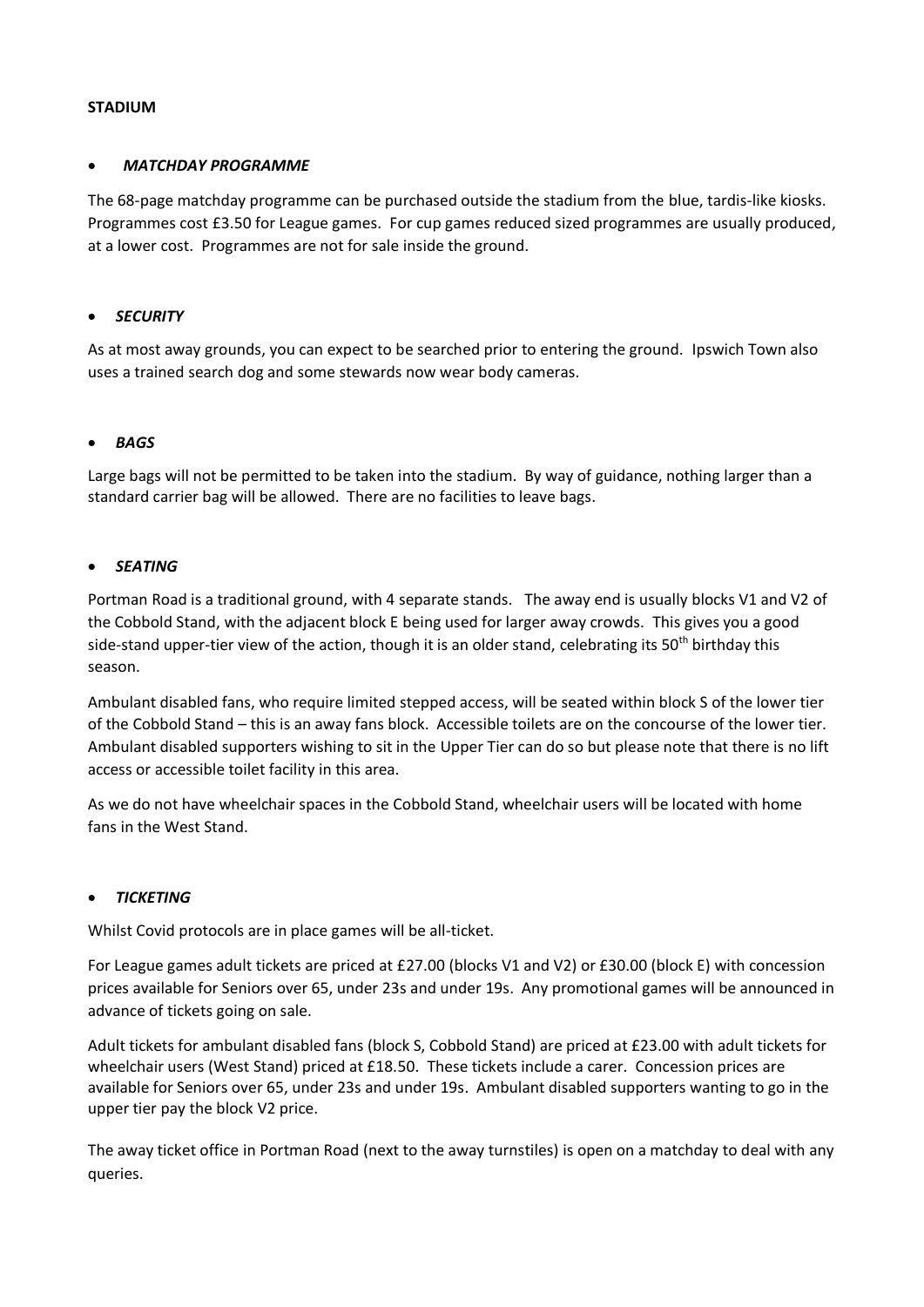## **STADIUM**

## • *MATCHDAY PROGRAMME*

The 68-page matchday programme can be purchased outside the stadium from the blue, tardis-like kiosks. Programmes cost £3.50 for League games. For cup games reduced sized programmes are usually produced, at a lower cost. Programmes are not for sale inside the ground.

## • *SECURITY*

As at most away grounds, you can expect to be searched prior to entering the ground. Ipswich Town also uses a trained search dog and some stewards now wear body cameras.

### • *BAGS*

Large bags will not be permitted to be taken into the stadium. By way of guidance, nothing larger than a standard carrier bag will be allowed. There are no facilities to leave bags.

### • *SEATING*

Portman Road is a traditional ground, with 4 separate stands. The away end is usually blocks V1 and V2 of the Cobbold Stand, with the adjacent block E being used for larger away crowds. This gives you a good side-stand upper-tier view of the action, though it is an older stand, celebrating its 50<sup>th</sup> birthday this season.

Ambulant disabled fans, who require limited stepped access, will be seated within block S of the lower tier of the Cobbold Stand – this is an away fans block. Accessible toilets are on the concourse of the lower tier. Ambulant disabled supporters wishing to sit in the Upper Tier can do so but please note that there is no lift access or accessible toilet facility in this area.

As we do not have wheelchair spaces in the Cobbold Stand, wheelchair users will be located with home fans in the West Stand.

#### • *TICKETING*

Whilst Covid protocols are in place games will be all-ticket.

For League games adult tickets are priced at £27.00 (blocks V1 and V2) or £30.00 (block E) with concession prices available for Seniors over 65, under 23s and under 19s. Any promotional games will be announced in advance of tickets going on sale.

Adult tickets for ambulant disabled fans (block S, Cobbold Stand) are priced at £23.00 with adult tickets for wheelchair users (West Stand) priced at £18.50. These tickets include a carer. Concession prices are available for Seniors over 65, under 23s and under 19s. Ambulant disabled supporters wanting to go in the upper tier pay the block V2 price.

The away ticket office in Portman Road (next to the away turnstiles) is open on a matchday to deal with any queries.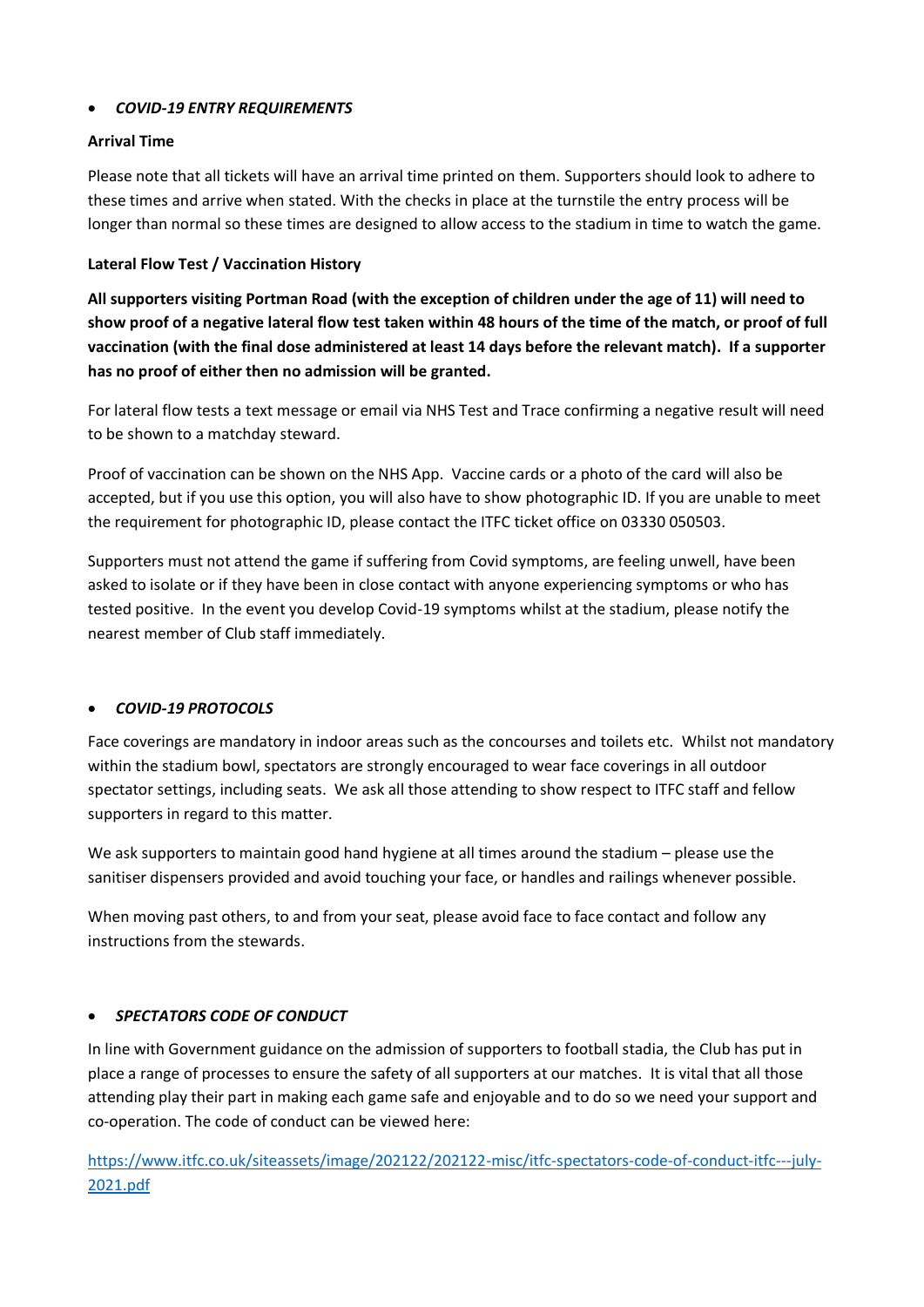# • *COVID-19 ENTRY REQUIREMENTS*

## **Arrival Time**

Please note that all tickets will have an arrival time printed on them. Supporters should look to adhere to these times and arrive when stated. With the checks in place at the turnstile the entry process will be longer than normal so these times are designed to allow access to the stadium in time to watch the game.

# **Lateral Flow Test / Vaccination History**

**All supporters visiting Portman Road (with the exception of children under the age of 11) will need to show proof of a negative lateral flow test taken within 48 hours of the time of the match, or proof of full vaccination (with the final dose administered at least 14 days before the relevant match). If a supporter has no proof of either then no admission will be granted.**

For lateral flow tests a text message or email via NHS Test and Trace confirming a negative result will need to be shown to a matchday steward.

Proof of vaccination can be shown on the NHS App. Vaccine cards or a photo of the card will also be accepted, but if you use this option, you will also have to show photographic ID. If you are unable to meet the requirement for photographic ID, please contact the ITFC ticket office on 03330 050503.

Supporters must not attend the game if suffering from Covid symptoms, are feeling unwell, have been asked to isolate or if they have been in close contact with anyone experiencing symptoms or who has tested positive. In the event you develop Covid-19 symptoms whilst at the stadium, please notify the nearest member of Club staff immediately.

# • *COVID-19 PROTOCOLS*

Face coverings are mandatory in indoor areas such as the concourses and toilets etc. Whilst not mandatory within the stadium bowl, spectators are strongly encouraged to wear face coverings in all outdoor spectator settings, including seats. We ask all those attending to show respect to ITFC staff and fellow supporters in regard to this matter.

We ask supporters to maintain good hand hygiene at all times around the stadium – please use the sanitiser dispensers provided and avoid touching your face, or handles and railings whenever possible.

When moving past others, to and from your seat, please avoid face to face contact and follow any instructions from the stewards.

# • *SPECTATORS CODE OF CONDUCT*

In line with Government guidance on the admission of supporters to football stadia, the Club has put in place a range of processes to ensure the safety of all supporters at our matches. It is vital that all those attending play their part in making each game safe and enjoyable and to do so we need your support and co-operation. The code of conduct can be viewed here:

[https://www.itfc.co.uk/siteassets/image/202122/202122-misc/itfc-spectators-code-of-conduct-itfc---july-](https://www.itfc.co.uk/siteassets/image/202122/202122-misc/itfc-spectators-code-of-conduct-itfc---july-2021.pdf)[2021.pdf](https://www.itfc.co.uk/siteassets/image/202122/202122-misc/itfc-spectators-code-of-conduct-itfc---july-2021.pdf)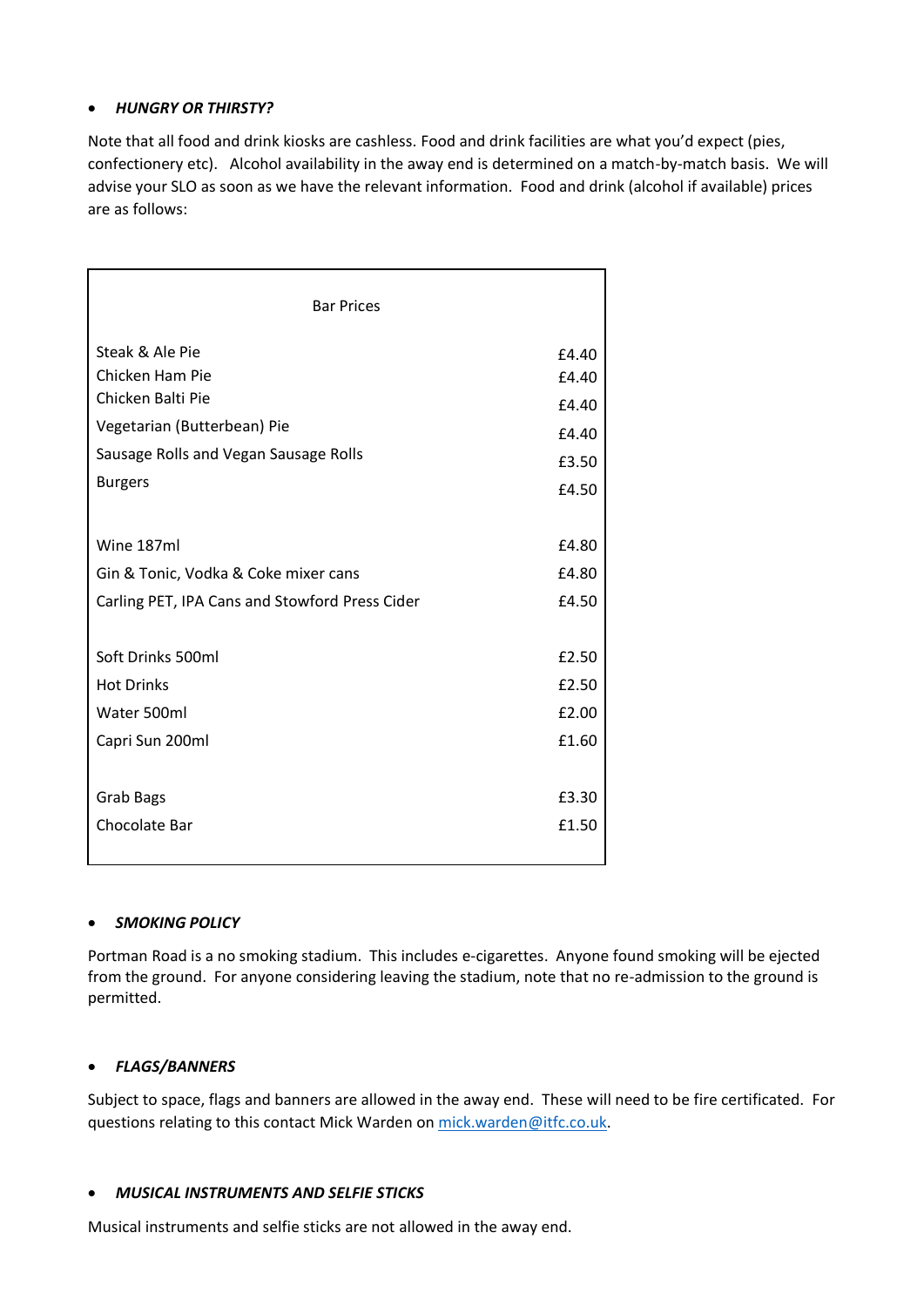# • *HUNGRY OR THIRSTY?*

Note that all food and drink kiosks are cashless. Food and drink facilities are what you'd expect (pies, confectionery etc). Alcohol availability in the away end is determined on a match-by-match basis. We will advise your SLO as soon as we have the relevant information. Food and drink (alcohol if available) prices are as follows:

| <b>Bar Prices</b>                              |       |  |
|------------------------------------------------|-------|--|
| Steak & Ale Pie                                | £4.40 |  |
| Chicken Ham Pie                                | £4.40 |  |
| Chicken Balti Pie                              | £4.40 |  |
| Vegetarian (Butterbean) Pie                    | £4.40 |  |
| Sausage Rolls and Vegan Sausage Rolls          | £3.50 |  |
| <b>Burgers</b>                                 | £4.50 |  |
| Wine 187ml                                     | £4.80 |  |
| Gin & Tonic, Vodka & Coke mixer cans           | £4.80 |  |
| Carling PET, IPA Cans and Stowford Press Cider | £4.50 |  |
| Soft Drinks 500ml                              | £2.50 |  |
| <b>Hot Drinks</b>                              | £2.50 |  |
| Water 500ml                                    | £2.00 |  |
| Capri Sun 200ml                                | £1.60 |  |
| <b>Grab Bags</b>                               | £3.30 |  |
| Chocolate Bar                                  | £1.50 |  |

## • *SMOKING POLICY*

Portman Road is a no smoking stadium. This includes e-cigarettes. Anyone found smoking will be ejected from the ground. For anyone considering leaving the stadium, note that no re-admission to the ground is permitted.

## • *FLAGS/BANNERS*

Subject to space, flags and banners are allowed in the away end. These will need to be fire certificated. For questions relating to this contact Mick Warden o[n mick.warden@itfc.co.uk.](mailto:mick.warden@itfc.co.uk)

## • *MUSICAL INSTRUMENTS AND SELFIE STICKS*

Musical instruments and selfie sticks are not allowed in the away end.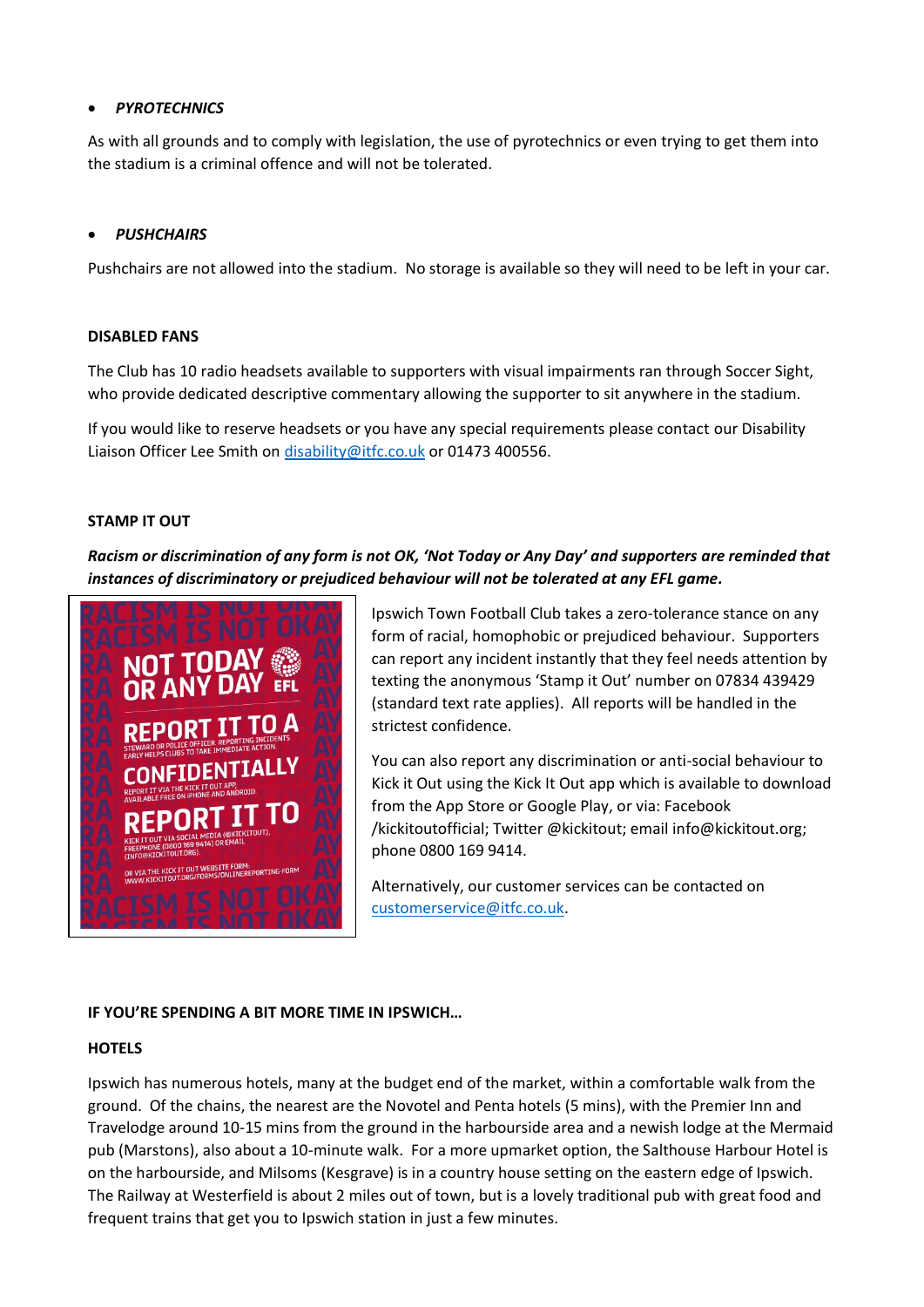## • *PYROTECHNICS*

As with all grounds and to comply with legislation, the use of pyrotechnics or even trying to get them into the stadium is a criminal offence and will not be tolerated.

## • *PUSHCHAIRS*

Pushchairs are not allowed into the stadium. No storage is available so they will need to be left in your car.

## **DISABLED FANS**

The Club has 10 radio headsets available to supporters with visual impairments ran through Soccer Sight, who provide dedicated descriptive commentary allowing the supporter to sit anywhere in the stadium.

If you would like to reserve headsets or you have any special requirements please contact our Disability Liaison Officer Lee Smith on [disability@itfc.co.uk](mailto:disability@itfc.co.uk) or 01473 400556.

### **STAMP IT OUT**

*Racism or discrimination of any form is not OK, 'Not Today or Any Day' and supporters are reminded that instances of discriminatory or prejudiced behaviour will not be tolerated at any EFL game.*



Ipswich Town Football Club takes a zero-tolerance stance on any form of racial, homophobic or prejudiced behaviour. Supporters can report any incident instantly that they feel needs attention by texting the anonymous 'Stamp it Out' number on 07834 439429 (standard text rate applies). All reports will be handled in the strictest confidence.

You can also report any discrimination or anti-social behaviour to Kick it Out using the Kick It Out app which is available to download from the App Store or Google Play, or via: Facebook /kickitoutofficial; Twitter @kickitout; email info@kickitout.org; phone 0800 169 9414.

Alternatively, our customer services can be contacted on [customerservice@itfc.co.uk.](mailto:customerservice@itfc.co.uk)

## **IF YOU'RE SPENDING A BIT MORE TIME IN IPSWICH…**

## **HOTELS**

Ipswich has numerous hotels, many at the budget end of the market, within a comfortable walk from the ground. Of the chains, the nearest are the Novotel and Penta hotels (5 mins), with the Premier Inn and Travelodge around 10-15 mins from the ground in the harbourside area and a newish lodge at the Mermaid pub (Marstons), also about a 10-minute walk. For a more upmarket option, the Salthouse Harbour Hotel is on the harbourside, and Milsoms (Kesgrave) is in a country house setting on the eastern edge of Ipswich. The Railway at Westerfield is about 2 miles out of town, but is a lovely traditional pub with great food and frequent trains that get you to Ipswich station in just a few minutes.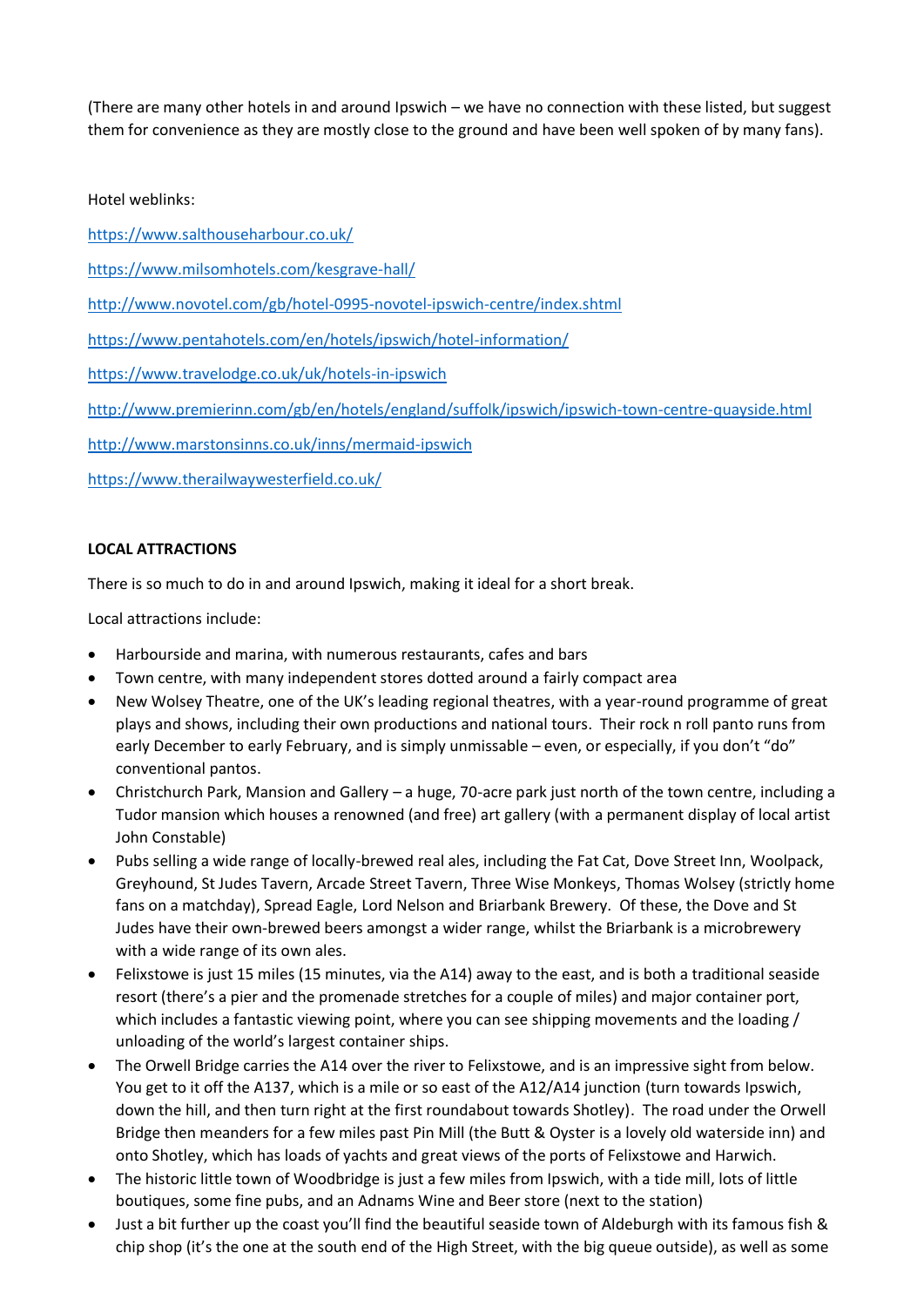(There are many other hotels in and around Ipswich – we have no connection with these listed, but suggest them for convenience as they are mostly close to the ground and have been well spoken of by many fans).

Hotel weblinks:

<https://www.salthouseharbour.co.uk/>

<https://www.milsomhotels.com/kesgrave-hall/>

<http://www.novotel.com/gb/hotel-0995-novotel-ipswich-centre/index.shtml>

<https://www.pentahotels.com/en/hotels/ipswich/hotel-information/>

<https://www.travelodge.co.uk/uk/hotels-in-ipswich>

<http://www.premierinn.com/gb/en/hotels/england/suffolk/ipswich/ipswich-town-centre-quayside.html>

<http://www.marstonsinns.co.uk/inns/mermaid-ipswich>

<https://www.therailwaywesterfield.co.uk/>

# **LOCAL ATTRACTIONS**

There is so much to do in and around Ipswich, making it ideal for a short break.

Local attractions include:

- Harbourside and marina, with numerous restaurants, cafes and bars
- Town centre, with many independent stores dotted around a fairly compact area
- New Wolsey Theatre, one of the UK's leading regional theatres, with a year-round programme of great plays and shows, including their own productions and national tours. Their rock n roll panto runs from early December to early February, and is simply unmissable – even, or especially, if you don't "do" conventional pantos.
- Christchurch Park, Mansion and Gallery a huge, 70-acre park just north of the town centre, including a Tudor mansion which houses a renowned (and free) art gallery (with a permanent display of local artist John Constable)
- Pubs selling a wide range of locally-brewed real ales, including the Fat Cat, Dove Street Inn, Woolpack, Greyhound, St Judes Tavern, Arcade Street Tavern, Three Wise Monkeys, Thomas Wolsey (strictly home fans on a matchday), Spread Eagle, Lord Nelson and Briarbank Brewery. Of these, the Dove and St Judes have their own-brewed beers amongst a wider range, whilst the Briarbank is a microbrewery with a wide range of its own ales.
- Felixstowe is just 15 miles (15 minutes, via the A14) away to the east, and is both a traditional seaside resort (there's a pier and the promenade stretches for a couple of miles) and major container port, which includes a fantastic viewing point, where you can see shipping movements and the loading / unloading of the world's largest container ships.
- The Orwell Bridge carries the A14 over the river to Felixstowe, and is an impressive sight from below. You get to it off the A137, which is a mile or so east of the A12/A14 junction (turn towards Ipswich, down the hill, and then turn right at the first roundabout towards Shotley). The road under the Orwell Bridge then meanders for a few miles past Pin Mill (the Butt & Oyster is a lovely old waterside inn) and onto Shotley, which has loads of yachts and great views of the ports of Felixstowe and Harwich.
- The historic little town of Woodbridge is just a few miles from Ipswich, with a tide mill, lots of little boutiques, some fine pubs, and an Adnams Wine and Beer store (next to the station)
- Just a bit further up the coast you'll find the beautiful seaside town of Aldeburgh with its famous fish & chip shop (it's the one at the south end of the High Street, with the big queue outside), as well as some